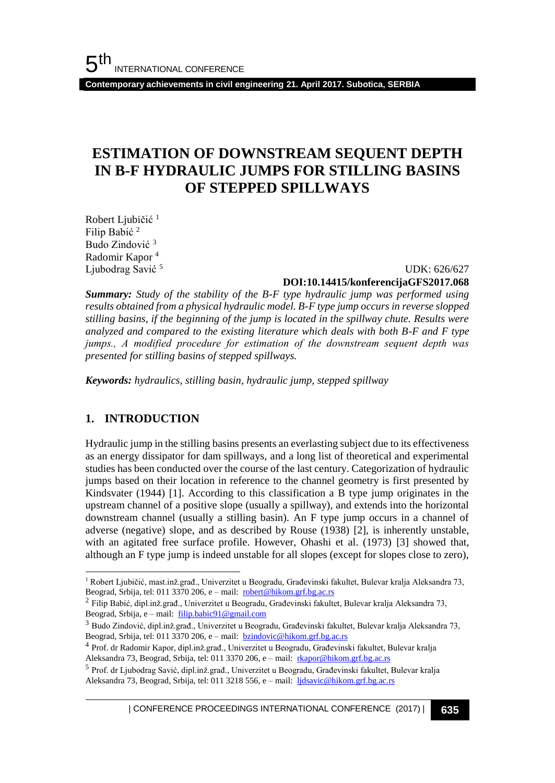**Contemporary achievements in civil engineering 21. April 2017. Subotica, SERBIA**

# **ESTIMATION OF DOWNSTREAM SEQUENT DEPTH IN B-F HYDRAULIC JUMPS FOR STILLING BASINS OF STEPPED SPILLWAYS**

Robert Ljubičić<sup>1</sup> Filip Babić <sup>2</sup> Budo Zindović <sup>3</sup> Radomir Kapor <sup>4</sup> Ljubodrag Savić <sup>5</sup>

 UDK: 626/627 **DOI:10.14415/konferencijaGFS2017.068**

*Summary: Study of the stability of the B-F type hydraulic jump was performed using results obtained from a physical hydraulic model. B-F type jump occurs in reverse slopped stilling basins, if the beginning of the jump is located in the spillway chute. Results were analyzed and compared to the existing literature which deals with both B-F and F type jumps., А modified procedure for estimation of the downstream sequent depth was presented for stilling basins of stepped spillways.*

*Keywords: hydraulics, stilling basin, hydraulic jump, stepped spillway*

### **1. INTRODUCTION**

l

Hydraulic jump in the stilling basins presents an everlasting subject due to its effectiveness as an energy dissipator for dam spillways, and a long list of theoretical and experimental studies has been conducted over the course of the last century. Categorization of hydraulic jumps based on their location in reference to the channel geometry is first presented by Kindsvater (1944) [1]. According to this classification a B type jump originates in the upstream channel of a positive slope (usually a spillway), and extends into the horizontal downstream channel (usually a stilling basin). An F type jump occurs in a channel of adverse (negative) slope, and as described by Rouse (1938) [2], is inherently unstable, with an agitated free surface profile. However, Ohashi et al. (1973) [3] showed that, although an F type jump is indeed unstable for all slopes (except for slopes close to zero),

| CONFERENCE PROCEEDINGS INTERNATIONAL CONFERENCE (2017) <sup>|</sup>**635**

<sup>1</sup> Robert Ljubičić, mast.inž.građ., Univerzitet u Beogradu, Građevinski fakultet, Bulevar kralja Aleksandra 73, Beograd, Srbija, tel: 011 3370 206, e – mail: [robert@hikom.grf.bg.ac.rs](mailto:robert@hikom.grf.bg.ac.rs)

 $^2$  Filip Babić, dipl.inž.građ., Univerzitet u Beogradu, Građevinski fakultet, Bulevar kralja Aleksandra 73, Beograd, Srbija, e – mail: [filip.babic91@gmail.com](mailto:filip.babic91@gmail.com)

<sup>3</sup> Budo Zindović, dipl.inž.građ., Univerzitet u Beogradu, Građevinski fakultet, Bulevar kralja Aleksandra 73, Beograd, Srbija, tel: 011 3370 206, e – mail: [bzindovic@hikom.grf.bg.ac.rs](mailto:bzindovic@hikom.grf.bg.ac.rs)

<sup>4</sup> Prof. dr Radomir Kapor, dipl.inž.građ., Univerzitet u Beogradu, Građevinski fakultet, Bulevar kralja Aleksandra 73, Beograd, Srbija, tel: 011 3370 206, e – mail: [rkapor@hikom.grf.bg.ac.rs](mailto:rkapor@hikom.grf.bg.ac.rs)

<sup>&</sup>lt;sup>5</sup> Prof. dr Ljubodrag Savić, dipl.inž.građ., Univerzitet u Beogradu, Građevinski fakultet, Bulevar kralja Aleksandra 73, Beograd, Srbija, tel: 011 3218 556, e – mail: [ljdsavic@hikom.grf.bg.ac.rs](mailto:ljdsavic@hikom.grf.bg.ac.rs)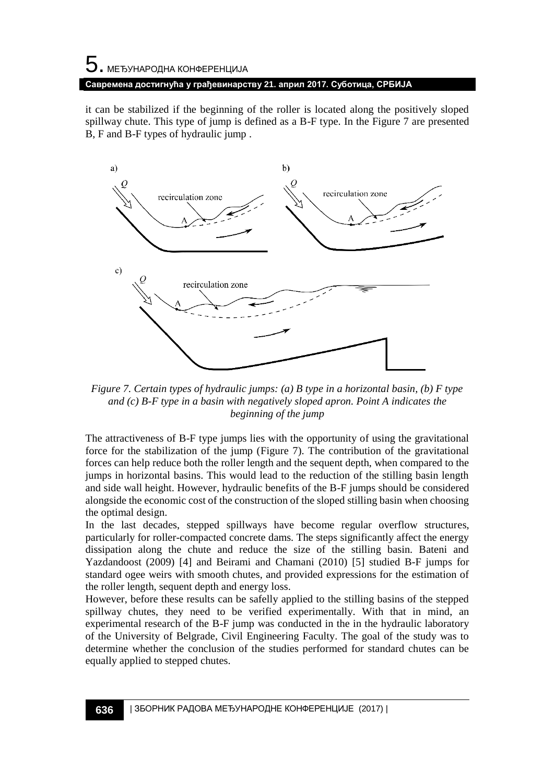# $\mathbf 5$ . међународна конференција **Савремена достигнућа у грађевинарству 21. април 2017. Суботица, СРБИЈА**

it can be stabilized if the beginning of the roller is located along the positively sloped spillway chute. This type of jump is defined as a B-F type. In the [Figure 7](#page-1-0) are presented B, F and B-F types of hydraulic jump .



<span id="page-1-0"></span>*Figure 7. Certain types of hydraulic jumps: (a) B type in a horizontal basin, (b) F type and (c) B-F type in a basin with negatively sloped apron. Point A indicates the beginning of the jump*

The attractiveness of B-F type jumps lies with the opportunity of using the gravitational force for the stabilization of the jump [\(Figure 7\)](#page-1-0). The contribution of the gravitational forces can help reduce both the roller length and the sequent depth, when compared to the jumps in horizontal basins. This would lead to the reduction of the stilling basin length and side wall height. However, hydraulic benefits of the B-F jumps should be considered alongside the economic cost of the construction of the sloped stilling basin when choosing the optimal design.

In the last decades, stepped spillways have become regular overflow structures, particularly for roller-compacted concrete dams. The steps significantly affect the energy dissipation along the chute and reduce the size of the stilling basin. Bateni and Yazdandoost (2009) [4] and Beirami and Chamani (2010) [5] studied B-F jumps for standard ogee weirs with smooth chutes, and provided expressions for the estimation of the roller length, sequent depth and energy loss.

However, before these results can be safelly applied to the stilling basins of the stepped spillway chutes, they need to be verified experimentally. With that in mind, an experimental research of the B-F jump was conducted in the in the hydraulic laboratory of the University of Belgrade, Civil Engineering Faculty. The goal of the study was to determine whether the conclusion of the studies performed for standard chutes can be equally applied to stepped chutes.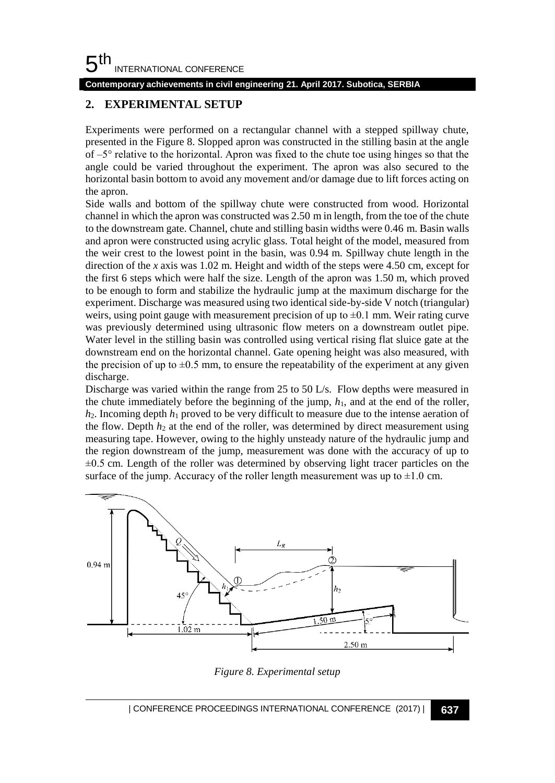#### 5 th INTERNATIONAL CONFERENCE

**Contemporary achievements in civil engineering 21. April 2017. Subotica, SERBIA**

## **2. EXPERIMENTAL SETUP**

Experiments were performed on a rectangular channel with a stepped spillway chute, presented in the [Figure 8.](#page-2-0) Slopped apron was constructed in the stilling basin at the angle of  $-5^\circ$  relative to the horizontal. Apron was fixed to the chute toe using hinges so that the angle could be varied throughout the experiment. The apron was also secured to the horizontal basin bottom to avoid any movement and/or damage due to lift forces acting on the apron.

Side walls and bottom of the spillway chute were constructed from wood. Horizontal channel in which the apron was constructed was 2.50 m in length, from the toe of the chute to the downstream gate. Channel, chute and stilling basin widths were 0.46 m. Basin walls and apron were constructed using acrylic glass. Total height of the model, measured from the weir crest to the lowest point in the basin, was 0.94 m. Spillway chute length in the direction of the *x* axis was 1.02 m. Height and width of the steps were 4.50 cm, except for the first 6 steps which were half the size. Length of the apron was 1.50 m, which proved to be enough to form and stabilize the hydraulic jump at the maximum discharge for the experiment. Discharge was measured using two identical side-by-side V notch (triangular) weirs, using point gauge with measurement precision of up to  $\pm 0.1$  mm. Weir rating curve was previously determined using ultrasonic flow meters on a downstream outlet pipe. Water level in the stilling basin was controlled using vertical rising flat sluice gate at the downstream end on the horizontal channel. Gate opening height was also measured, with the precision of up to  $\pm 0.5$  mm, to ensure the repeatability of the experiment at any given discharge.

Discharge was varied within the range from 25 to 50 L/s. Flow depths were measured in the chute immediately before the beginning of the jump, *h*1, and at the end of the roller, *h*2. Incoming depth *h*<sup>1</sup> proved to be very difficult to measure due to the intense aeration of the flow. Depth  $h_2$  at the end of the roller, was determined by direct measurement using measuring tape. However, owing to the highly unsteady nature of the hydraulic jump and the region downstream of the jump, measurement was done with the accuracy of up to  $\pm 0.5$  cm. Length of the roller was determined by observing light tracer particles on the surface of the jump. Accuracy of the roller length measurement was up to  $\pm 1.0$  cm.



<span id="page-2-0"></span>*Figure 8. Experimental setup*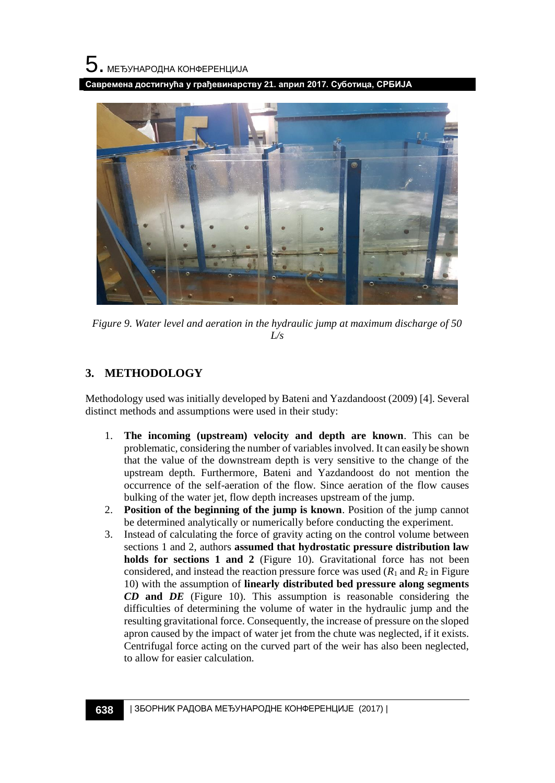**Савремена достигнућа у грађевинарству 21. април 2017. Суботица, СРБИЈА**



*Figure 9. Water level and aeration in the hydraulic jump at maximum discharge of 50 L/s*

## **3. METHODOLOGY**

Methodology used was initially developed by Bateni and Yazdandoost (2009) [4]. Several distinct methods and assumptions were used in their study:

- 1. **The incoming (upstream) velocity and depth are known**. This can be problematic, considering the number of variables involved. It can easily be shown that the value of the downstream depth is very sensitive to the change of the upstream depth. Furthermore, Bateni and Yazdandoost do not mention the occurrence of the self-aeration of the flow. Since aeration of the flow causes bulking of the water jet, flow depth increases upstream of the jump.
- 2. **Position of the beginning of the jump is known**. Position of the jump cannot be determined analytically or numerically before conducting the experiment.
- 3. Instead of calculating the force of gravity acting on the control volume between sections 1 and 2, authors **assumed that hydrostatic pressure distribution law holds for sections 1 and 2** [\(Figure 10\)](#page-4-0). Gravitational force has not been considered, and instead the reaction pressure force was used  $(R_1 \text{ and } R_2 \text{ in Figure})$ [10\)](#page-4-0) with the assumption of **linearly distributed bed pressure along segments**  *CD* **and** *DE* [\(Figure 10\)](#page-4-0). This assumption is reasonable considering the difficulties of determining the volume of water in the hydraulic jump and the resulting gravitational force. Consequently, the increase of pressure on the sloped apron caused by the impact of water jet from the chute was neglected, if it exists. Centrifugal force acting on the curved part of the weir has also been neglected, to allow for easier calculation.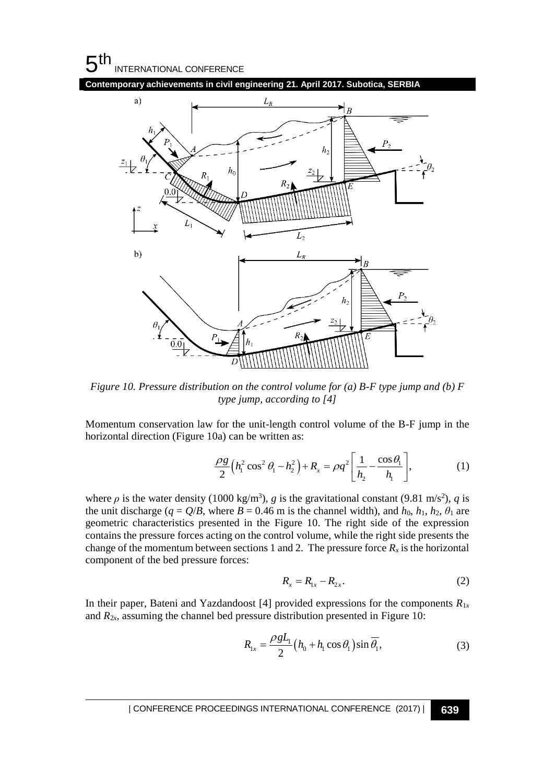#### 5 th INTERNATIONAL CONFERENCE





<span id="page-4-0"></span>*Figure 10. Pressure distribution on the control volume for (a) B-F type jump and (b) F type jump, according to [4]*

Momentum conservation law for the unit-length control volume of the B-F jump in the horizontal direction [\(Figure 10a](#page-4-0)) can be written as:

$$
\frac{\rho g}{2} \Big( h_1^2 \cos^2 \theta_1 - h_2^2 \Big) + R_x = \rho q^2 \Bigg[ \frac{1}{h_2} - \frac{\cos \theta_1}{h_1} \Bigg],
$$
 (1)

where  $\rho$  is the water density (1000 kg/m<sup>3</sup>), *g* is the gravitational constant (9.81 m/s<sup>2</sup>), *q* is the unit discharge ( $q = Q/B$ , where  $B = 0.46$  m is the channel width), and  $h_0$ ,  $h_1$ ,  $h_2$ ,  $\theta_1$  are geometric characteristics presented in the [Figure 10.](#page-4-0) The right side of the expression contains the pressure forces acting on the control volume, while the right side presents the change of the momentum between sections 1 and 2. The pressure force  $R_x$  is the horizontal component of the bed pressure forces:

$$
R_{x} = R_{1x} - R_{2x}.
$$
 (2)

In their paper, Bateni and Yazdandoost [4] provided expressions for the components  $R_{1x}$ and  $R_{2x}$ , assuming the channel bed pressure distribution presented in [Figure 10:](#page-4-0)

$$
R_{1x} = \frac{\rho g L_1}{2} (h_0 + h_1 \cos \theta_1) \sin \overline{\theta_1},
$$
 (3)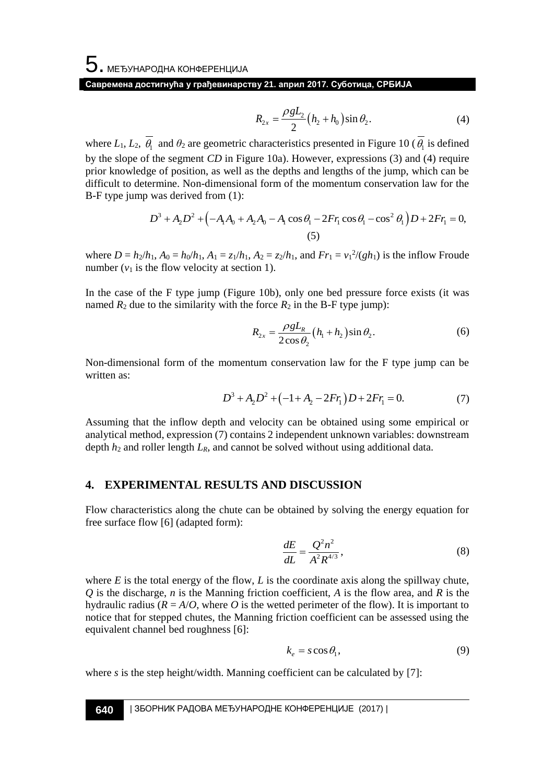$$
R_{2x} = \frac{\rho g L_2}{2} (h_2 + h_0) \sin \theta_2.
$$
 (4)

where  $L_1, L_2, \theta_1$  and  $\theta_2$  are geometric characteristics presented in [Figure 10](#page-4-0) ( $\theta_1$  is defined by the slope of the segment *CD* in [Figure 10a](#page-4-0)). However, expressions (3) and (4) require prior knowledge of position, as well as the depths and lengths of the jump, which can be difficult to determine. Non-dimensional form of the momentum conservation law for the B-F type jump was derived from (1):

was derived from (1):  
\n
$$
D^3 + A_2 D^2 + (-A_1 A_0 + A_2 A_0 - A_1 \cos \theta_1 - 2F r_1 \cos \theta_1 - \cos^2 \theta_1) D + 2F r_1 = 0,
$$
\n(5)

where  $D = h_2/h_1$ ,  $A_0 = h_0/h_1$ ,  $A_1 = z_1/h_1$ ,  $A_2 = z_2/h_1$ , and  $Fr_1 = v_1^2/(gh_1)$  is the inflow Froude number  $(v_1$  is the flow velocity at section 1).

In the case of the F type jump [\(Figure 10b](#page-4-0)), only one bed pressure force exists (it was named  $R_2$  due to the similarity with the force  $R_2$  in the B-F type jump):

$$
R_{2x} = \frac{\rho g L_R}{2 \cos \theta_2} \left( h_1 + h_2 \right) \sin \theta_2.
$$
 (6)

Non-dimensional form of the momentum conservation law for the F type jump can be written as:

$$
D^3 + A_2 D^2 + (-1 + A_2 - 2Fr_1)D + 2Fr_1 = 0.
$$
 (7)

Assuming that the inflow depth and velocity can be obtained using some empirical or analytical method, expression (7) contains 2 independent unknown variables: downstream depth  $h_2$  and roller length  $L_R$ , and cannot be solved without using additional data.

### **4. EXPERIMENTAL RESULTS AND DISCUSSION**

Flow characteristics along the chute can be obtained by solving the energy equation for free surface flow [6] (adapted form):

$$
\frac{dE}{dL} = \frac{Q^2 n^2}{A^2 R^{4/3}},\tag{8}
$$

where  $E$  is the total energy of the flow,  $L$  is the coordinate axis along the spillway chute, *Q* is the discharge, *n* is the Manning friction coefficient, *A* is the flow area, and *R* is the hydraulic radius  $(R = A/O)$ , where O is the wetted perimeter of the flow). It is important to notice that for stepped chutes, the Manning friction coefficient can be assessed using the equivalent channel bed roughness [6]:

$$
k_e = s \cos \theta_1,\tag{9}
$$

where *s* is the step height/width. Manning coefficient can be calculated by [7]: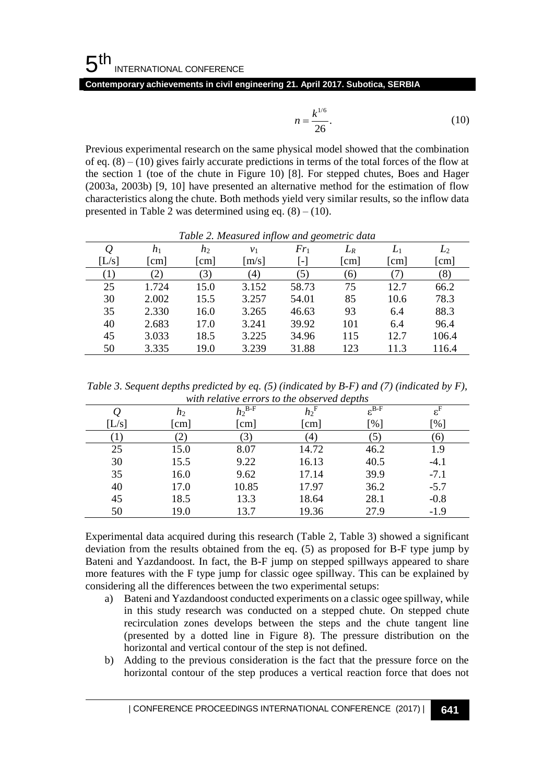**Contemporary achievements in civil engineering 21. April 2017. Subotica, SERBIA**

$$
n = \frac{k^{1/6}}{26}.
$$
 (10)

<span id="page-6-0"></span>

| Tubic 2. measured inflow and geometric adia |                        |       |                |                   |                        |       |       |
|---------------------------------------------|------------------------|-------|----------------|-------------------|------------------------|-------|-------|
| Q                                           | $h_1$                  | $h_2$ | v <sub>1</sub> | $Fr_1$            | $L_R$                  | $L_1$ | $L_2$ |
| [L/s]                                       | $\lfloor$ cm $\rfloor$ | cm    | [m/s]          | $\vert$ - $\vert$ | $\lfloor$ cm $\rfloor$ | [cm]  | [cm]  |
| $\left(1\right)$                            | $\left( 2\right)$      | 3)    | (4)            | (5)               | (6)                    |       | (8)   |
| 25                                          | 1.724                  | 15.0  | 3.152          | 58.73             | 75                     | 12.7  | 66.2  |
| 30                                          | 2.002                  | 15.5  | 3.257          | 54.01             | 85                     | 10.6  | 78.3  |
| 35                                          | 2.330                  | 16.0  | 3.265          | 46.63             | 93                     | 6.4   | 88.3  |
| 40                                          | 2.683                  | 17.0  | 3.241          | 39.92             | 101                    | 6.4   | 96.4  |
| 45                                          | 3.033                  | 18.5  | 3.225          | 34.96             | 115                    | 12.7  | 106.4 |
| 50                                          | 3.335                  | 19.0  | 3.239          | 31.88             | 123                    | 11.3  | 116.4 |

*Table 2. Measured inflow and geometric data*

<span id="page-6-1"></span>*Table 3. Sequent depths predicted by eq. (5) (indicated by B-F) and (7) (indicated by F), with relative errors to the observed depths*

|                           |                                                                                                                                                                                                                                                                                                                                                                                                                                                                                                                                                                                                                                                                                                                                                                                                                                                                                                                                                                                                           |                |                                                                                          | $n = \frac{k^{1/6}}{26}.$         |                                                     |       | (10)                                |
|---------------------------|-----------------------------------------------------------------------------------------------------------------------------------------------------------------------------------------------------------------------------------------------------------------------------------------------------------------------------------------------------------------------------------------------------------------------------------------------------------------------------------------------------------------------------------------------------------------------------------------------------------------------------------------------------------------------------------------------------------------------------------------------------------------------------------------------------------------------------------------------------------------------------------------------------------------------------------------------------------------------------------------------------------|----------------|------------------------------------------------------------------------------------------|-----------------------------------|-----------------------------------------------------|-------|-------------------------------------|
|                           | Previous experimental research on the same physical model showed that the combination                                                                                                                                                                                                                                                                                                                                                                                                                                                                                                                                                                                                                                                                                                                                                                                                                                                                                                                     |                |                                                                                          |                                   |                                                     |       |                                     |
|                           | of eq. $(8) - (10)$ gives fairly accurate predictions in terms of the total forces of the flow at                                                                                                                                                                                                                                                                                                                                                                                                                                                                                                                                                                                                                                                                                                                                                                                                                                                                                                         |                |                                                                                          |                                   |                                                     |       |                                     |
|                           | the section 1 (toe of the chute in Figure 10) [8]. For stepped chutes, Boes and Hager                                                                                                                                                                                                                                                                                                                                                                                                                                                                                                                                                                                                                                                                                                                                                                                                                                                                                                                     |                |                                                                                          |                                   |                                                     |       |                                     |
|                           | (2003a, 2003b) [9, 10] have presented an alternative method for the estimation of flow                                                                                                                                                                                                                                                                                                                                                                                                                                                                                                                                                                                                                                                                                                                                                                                                                                                                                                                    |                |                                                                                          |                                   |                                                     |       |                                     |
|                           | characteristics along the chute. Both methods yield very similar results, so the inflow data                                                                                                                                                                                                                                                                                                                                                                                                                                                                                                                                                                                                                                                                                                                                                                                                                                                                                                              |                |                                                                                          |                                   |                                                     |       |                                     |
|                           | presented in Table 2 was determined using eq. $(8) - (10)$ .                                                                                                                                                                                                                                                                                                                                                                                                                                                                                                                                                                                                                                                                                                                                                                                                                                                                                                                                              |                |                                                                                          |                                   |                                                     |       |                                     |
|                           |                                                                                                                                                                                                                                                                                                                                                                                                                                                                                                                                                                                                                                                                                                                                                                                                                                                                                                                                                                                                           |                |                                                                                          |                                   |                                                     |       |                                     |
|                           |                                                                                                                                                                                                                                                                                                                                                                                                                                                                                                                                                                                                                                                                                                                                                                                                                                                                                                                                                                                                           |                | Table 2. Measured inflow and geometric data                                              |                                   |                                                     |       |                                     |
| $\varrho$                 | $h_1$                                                                                                                                                                                                                                                                                                                                                                                                                                                                                                                                                                                                                                                                                                                                                                                                                                                                                                                                                                                                     | h <sub>2</sub> | $v_1$                                                                                    | $Fr_1$                            | $L_R$                                               | $L_1$ | $L_2$                               |
| [L/s]                     | $\lfloor$ cm $\rfloor$                                                                                                                                                                                                                                                                                                                                                                                                                                                                                                                                                                                                                                                                                                                                                                                                                                                                                                                                                                                    | $\lceil$ cm    | [m/s]                                                                                    | $\lceil - \rceil$                 | $\lfloor$ cm $\rfloor$                              | [cm]  | $\lfloor$ cm                        |
| (1)                       | (2)                                                                                                                                                                                                                                                                                                                                                                                                                                                                                                                                                                                                                                                                                                                                                                                                                                                                                                                                                                                                       | (3)            | (4)                                                                                      | (5)                               | (6)                                                 | (7)   | (8)                                 |
| 25                        | 1.724                                                                                                                                                                                                                                                                                                                                                                                                                                                                                                                                                                                                                                                                                                                                                                                                                                                                                                                                                                                                     | 15.0           | 3.152                                                                                    | 58.73                             | 75                                                  | 12.7  | 66.2                                |
| 30                        | 2.002                                                                                                                                                                                                                                                                                                                                                                                                                                                                                                                                                                                                                                                                                                                                                                                                                                                                                                                                                                                                     | 15.5           | 3.257                                                                                    | 54.01                             | 85                                                  | 10.6  | 78.3                                |
| 35                        | 2.330                                                                                                                                                                                                                                                                                                                                                                                                                                                                                                                                                                                                                                                                                                                                                                                                                                                                                                                                                                                                     | 16.0           | 3.265                                                                                    | 46.63                             | 93                                                  | 6.4   | 88.3                                |
| 40                        | 2.683                                                                                                                                                                                                                                                                                                                                                                                                                                                                                                                                                                                                                                                                                                                                                                                                                                                                                                                                                                                                     | 17.0           | 3.241                                                                                    | 39.92                             | 101                                                 | 6.4   | 96.4                                |
| 45                        | 3.033                                                                                                                                                                                                                                                                                                                                                                                                                                                                                                                                                                                                                                                                                                                                                                                                                                                                                                                                                                                                     | 18.5           | 3.225                                                                                    | 34.96                             | 115                                                 | 12.7  | 106.4                               |
| 50                        | 3.335                                                                                                                                                                                                                                                                                                                                                                                                                                                                                                                                                                                                                                                                                                                                                                                                                                                                                                                                                                                                     | 19.0           | 3.239                                                                                    | 31.88                             | 123                                                 | 11.3  | 116.4                               |
| $\varrho$<br>[L/s]<br>(1) | h <sub>2</sub><br>[cm]<br>(2)                                                                                                                                                                                                                                                                                                                                                                                                                                                                                                                                                                                                                                                                                                                                                                                                                                                                                                                                                                             |                | with relative errors to the observed depths<br>$h_2^{\text{B-F}}$<br>$[{\rm cm}]$<br>(3) | $h_2$ <sup>F</sup><br>[cm]<br>(4) | $\varepsilon^{\overline{\text{B-F}}}$<br>[%]<br>(5) |       | $\varepsilon^{\rm F}$<br>[%]<br>(6) |
| 25                        | 15.0                                                                                                                                                                                                                                                                                                                                                                                                                                                                                                                                                                                                                                                                                                                                                                                                                                                                                                                                                                                                      |                | 8.07                                                                                     | 14.72                             |                                                     | 46.2  | 1.9                                 |
| 30                        | 15.5                                                                                                                                                                                                                                                                                                                                                                                                                                                                                                                                                                                                                                                                                                                                                                                                                                                                                                                                                                                                      |                | 9.22                                                                                     | 16.13                             |                                                     | 40.5  | $-4.1$                              |
| 35                        | 16.0                                                                                                                                                                                                                                                                                                                                                                                                                                                                                                                                                                                                                                                                                                                                                                                                                                                                                                                                                                                                      |                | 9.62                                                                                     | 17.14                             |                                                     | 39.9  | $-7.1$                              |
| 40                        | 17.0                                                                                                                                                                                                                                                                                                                                                                                                                                                                                                                                                                                                                                                                                                                                                                                                                                                                                                                                                                                                      |                | 10.85                                                                                    | 17.97                             |                                                     | 36.2  | $-5.7$                              |
| 45                        | 18.5                                                                                                                                                                                                                                                                                                                                                                                                                                                                                                                                                                                                                                                                                                                                                                                                                                                                                                                                                                                                      |                | 13.3                                                                                     | 18.64                             | 28.1                                                |       | $-0.8$                              |
| 50                        | 19.0                                                                                                                                                                                                                                                                                                                                                                                                                                                                                                                                                                                                                                                                                                                                                                                                                                                                                                                                                                                                      |                | 13.7                                                                                     | 19.36                             | 27.9                                                |       | $-1.9$                              |
| a)<br>b)                  | Experimental data acquired during this research (Table 2, Table 3) showed a significant<br>deviation from the results obtained from the eq. (5) as proposed for B-F type jump by<br>Bateni and Yazdandoost. In fact, the B-F jump on stepped spillways appeared to share<br>more features with the F type jump for classic ogee spillway. This can be explained by<br>considering all the differences between the two experimental setups:<br>Bateni and Yazdandoost conducted experiments on a classic ogee spillway, while<br>in this study research was conducted on a stepped chute. On stepped chute<br>recirculation zones develops between the steps and the chute tangent line<br>(presented by a dotted line in Figure 8). The pressure distribution on the<br>horizontal and vertical contour of the step is not defined.<br>Adding to the previous consideration is the fact that the pressure force on the<br>horizontal contour of the step produces a vertical reaction force that does not |                |                                                                                          |                                   |                                                     |       |                                     |
|                           | CONFERENCE PROCEEDINGS INTERNATIONAL CONFERENCE (2017)                                                                                                                                                                                                                                                                                                                                                                                                                                                                                                                                                                                                                                                                                                                                                                                                                                                                                                                                                    |                |                                                                                          |                                   |                                                     |       | 641                                 |

- a) Bateni and Yazdandoost conducted experiments on a classic ogee spillway, while in this study research was conducted on a stepped chute. On stepped chute recirculation zones develops between the steps and the chute tangent line (presented by a dotted line in [Figure 8\)](#page-2-0). The pressure distribution on the horizontal and vertical contour of the step is not defined.
- b) Adding to the previous consideration is the fact that the pressure force on the horizontal contour of the step produces a vertical reaction force that does not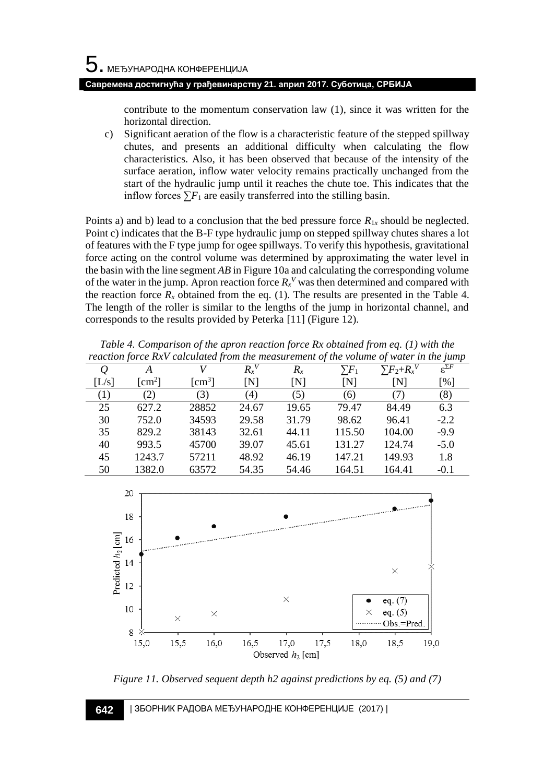contribute to the momentum conservation law (1), since it was written for the horizontal direction.

c) Significant aeration of the flow is a characteristic feature of the stepped spillway chutes, and presents an additional difficulty when calculating the flow characteristics. Also, it has been observed that because of the intensity of the surface aeration, inflow water velocity remains practically unchanged from the start of the hydraulic jump until it reaches the chute toe. This indicates that the inflow forces  $\sum F_1$  are easily transferred into the stilling basin.

Points a) and b) lead to a conclusion that the bed pressure force  $R_{1x}$  should be neglected. Point c) indicates that the B-F type hydraulic jump on stepped spillway chutes shares a lot of features with the F type jump for ogee spillways. To verify this hypothesis, gravitational force acting on the control volume was determined by approximating the water level in the basin with the line segment *AB* i[n Figure 10a](#page-4-0) and calculating the corresponding volume of the water in the jump. Apron reaction force  $R_x^V$  was then determined and compared with the reaction force  $R_x$  obtained from the eq. (1). The results are presented in the [Table 4.](#page-7-0) The length of the roller is similar to the lengths of the jump in horizontal channel, and corresponds to the results provided by Peterka [11] [\(Figure 12\)](#page-8-0).

<span id="page-7-0"></span>*Table 4. Comparison of the apron reaction force Rx obtained from eq. (1) with the reaction force RxV calculated from the measurement of the volume of water in the jump Q A V Rx V Rx*  $\sum\!F_1$  $\sum F_2 + R_x$ *V* ε Σ*F*

|       | A                                 |                                   | $R_{x}^{V}$ | $R_{x}$ | $\sum\!F_1$ | $\sum F_2 + R_{x}^{\ V}$ | $\varepsilon^{\Sigma F}$ |
|-------|-----------------------------------|-----------------------------------|-------------|---------|-------------|--------------------------|--------------------------|
| [L/s] | $\lceil$ cm <sup>2</sup> $\rceil$ | $\lceil$ cm <sup>3</sup> $\rceil$ | ſΝl         | ſΝ      | ſΝl         | ſΝl                      | [%]                      |
| (1)   | (2)                               | (3)                               | (4)         | (5)     | (6)         | (7)                      | (8)                      |
| 25    | 627.2                             | 28852                             | 24.67       | 19.65   | 79.47       | 84.49                    | 6.3                      |
| 30    | 752.0                             | 34593                             | 29.58       | 31.79   | 98.62       | 96.41                    | $-2.2$                   |
| 35    | 829.2                             | 38143                             | 32.61       | 44.11   | 115.50      | 104.00                   | $-9.9$                   |
| 40    | 993.5                             | 45700                             | 39.07       | 45.61   | 131.27      | 124.74                   | $-5.0$                   |
| 45    | 1243.7                            | 57211                             | 48.92       | 46.19   | 147.21      | 149.93                   | 1.8                      |
| 50    | 1382.0                            | 63572                             | 54.35       | 54.46   | 164.51      | 164.41                   | $-0.1$                   |



*Figure 11. Observed sequent depth h2 against predictions by eq. (5) and (7)*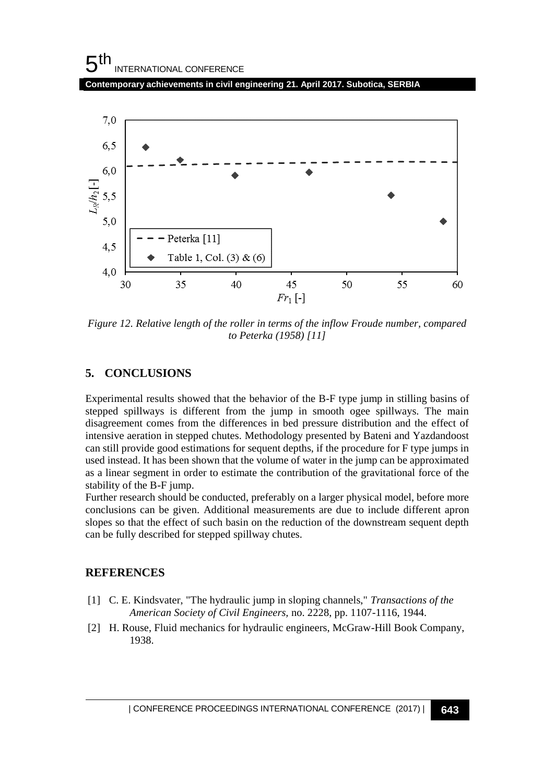

<span id="page-8-0"></span>*Figure 12. Relative length of the roller in terms of the inflow Froude number, compared to Peterka (1958) [11]*

## **5. CONCLUSIONS**

Experimental results showed that the behavior of the B-F type jump in stilling basins of stepped spillways is different from the jump in smooth ogee spillways. The main disagreement comes from the differences in bed pressure distribution and the effect of intensive aeration in stepped chutes. Methodology presented by Bateni and Yazdandoost can still provide good estimations for sequent depths, if the procedure for F type jumps in used instead. It has been shown that the volume of water in the jump can be approximated as a linear segment in order to estimate the contribution of the gravitational force of the stability of the B-F jump.

Further research should be conducted, preferably on a larger physical model, before more conclusions can be given. Additional measurements are due to include different apron slopes so that the effect of such basin on the reduction of the downstream sequent depth can be fully described for stepped spillway chutes.

### **REFERENCES**

- [1] C. E. Kindsvater, "The hydraulic jump in sloping channels," *Transactions of the American Society of Civil Engineers,* no. 2228, pp. 1107-1116, 1944.
- [2] H. Rouse, Fluid mechanics for hydraulic engineers, McGraw-Hill Book Company, 1938.